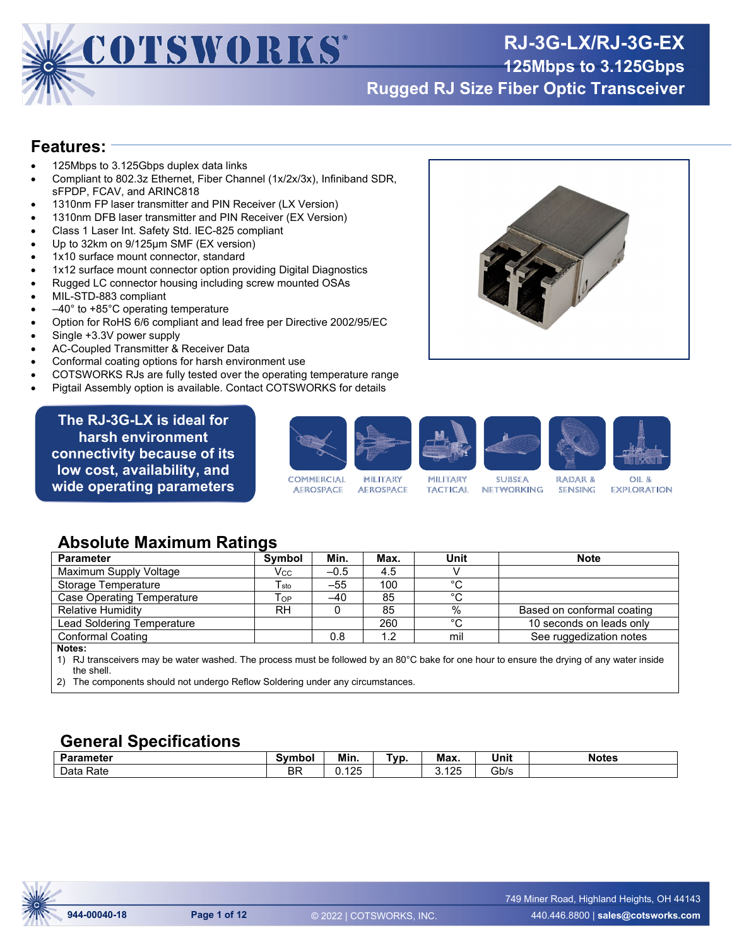

# **RJ-3G-LX/RJ-3G-EX**

**125Mbps to 3.125Gbps**

**Rugged RJ Size Fiber Optic Transceiver**

#### **Features:**

- 125Mbps to 3.125Gbps duplex data links
- Compliant to 802.3z Ethernet, Fiber Channel (1x/2x/3x), Infiniband SDR, sFPDP, FCAV, and ARINC818
- 1310nm FP laser transmitter and PIN Receiver (LX Version)
- 1310nm DFB laser transmitter and PIN Receiver (EX Version)
- Class 1 Laser Int. Safety Std. IEC-825 compliant
- Up to 32km on 9/125µm SMF (EX version)
- 1x10 surface mount connector, standard
- 1x12 surface mount connector option providing Digital Diagnostics
- Rugged LC connector housing including screw mounted OSAs
- MIL-STD-883 compliant
- $-40^\circ$  to +85 $^\circ$ C operating temperature
- Option for RoHS 6/6 compliant and lead free per Directive 2002/95/EC
- Single +3.3V power supply
- AC-Coupled Transmitter & Receiver Data
- Conformal coating options for harsh environment use
- COTSWORKS RJs are fully tested over the operating temperature range
- Pigtail Assembly option is available. Contact COTSWORKS for details

**The RJ-3G-LX is ideal for harsh environment connectivity because of its low cost, availability, and wide operating parameters**



#### **Absolute Maximum Ratings**

| <b>Parameter</b>                                                                                                                           | <b>Symbol</b>               | Min.   | Max. | Unit | <b>Note</b>                |
|--------------------------------------------------------------------------------------------------------------------------------------------|-----------------------------|--------|------|------|----------------------------|
| Maximum Supply Voltage                                                                                                                     | Vcc                         | $-0.5$ | 4.5  |      |                            |
| Storage Temperature                                                                                                                        | $\mathsf{T}_{\mathsf{sto}}$ | $-55$  | 100  | °C   |                            |
| Case Operating Temperature                                                                                                                 | $\mathsf{T}_{\mathsf{OP}}$  | $-40$  | 85   | °C   |                            |
| <b>Relative Humidity</b>                                                                                                                   | <b>RH</b>                   |        | 85   | %    | Based on conformal coating |
| Lead Soldering Temperature                                                                                                                 |                             |        | 260  | °C   | 10 seconds on leads only   |
| <b>Conformal Coating</b>                                                                                                                   |                             | 0.8    | 1.2  | mil  | See ruggedization notes    |
| Notes:                                                                                                                                     |                             |        |      |      |                            |
| 1) PI transcouvers may be water washed. The process must be followed by an 80°C bake for one bour to ensure the drying of any water inside |                             |        |      |      |                            |

RJ transceivers may be water washed. The process must be followed by an 80°C bake for one hour to ensure the drying of any water inside the shell.

2) The components should not undergo Reflow Soldering under any circumstances.

#### **General Specifications**

| ∕arameter    | svmbol    | Min.               | `vn<br>. | Max.               | Unit | <b>Notes</b> |
|--------------|-----------|--------------------|----------|--------------------|------|--------------|
| Rate<br>Data | D D<br>DГ | イクド<br>ں ے ا<br>v. |          | イウド<br>ں ے ا<br>U. | Gb/s |              |



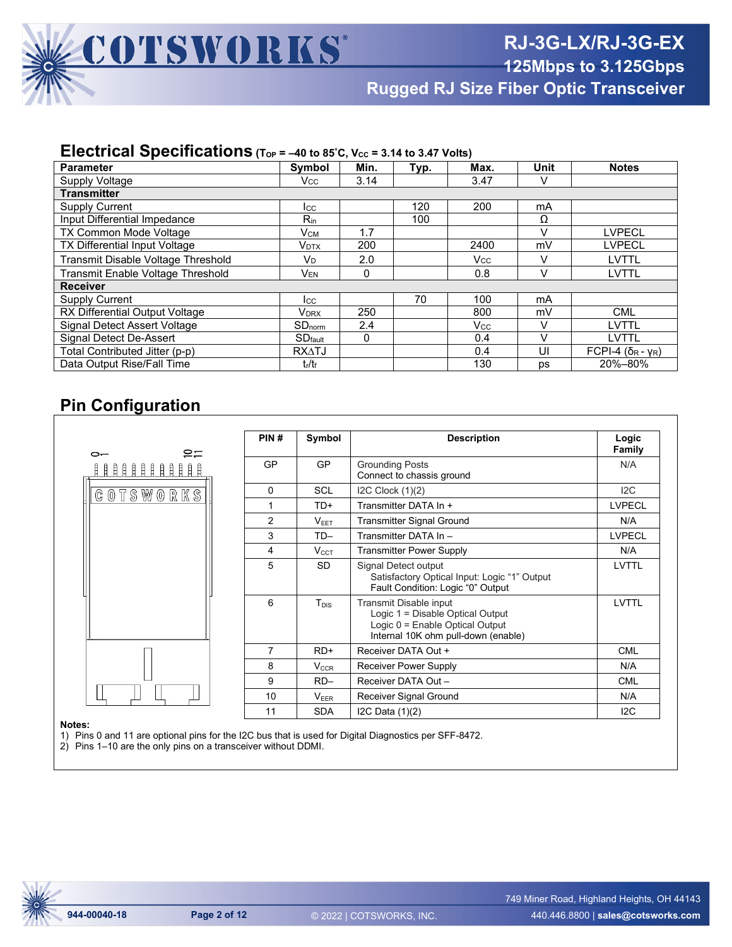

**Rugged RJ Size Fiber Optic Transceiver**

#### **Electrical Specifications** (T<sub>OP</sub> = -40 to 85°C, V<sub>cc</sub> = 3.14 to 3.47 Volts)

| <b>Parameter</b>                    | Symbol                         | Min. | Typ. | Max.       | <b>Unit</b> | <b>Notes</b>                   |
|-------------------------------------|--------------------------------|------|------|------------|-------------|--------------------------------|
| Supply Voltage                      | Vcc                            | 3.14 |      | 3.47       | v           |                                |
| <b>Transmitter</b>                  |                                |      |      |            |             |                                |
| <b>Supply Current</b>               | <b>I</b> cc                    |      | 120  | 200        | mA          |                                |
| <b>Input Differential Impedance</b> | $R_{in}$                       |      | 100  |            | Ω           |                                |
| <b>TX Common Mode Voltage</b>       | Vсм                            | 1.7  |      |            | V           | <b>LVPECL</b>                  |
| TX Differential Input Voltage       | <b>V</b> <sub>DTX</sub>        | 200  |      | 2400       | mV          | <b>LVPECL</b>                  |
| Transmit Disable Voltage Threshold  | V <sub>D</sub>                 | 2.0  |      | <b>Vcc</b> | V           | <b>LVTTL</b>                   |
| Transmit Enable Voltage Threshold   | V <sub>EN</sub>                | 0    |      | 0.8        | V           | <b>LVTTL</b>                   |
| <b>Receiver</b>                     |                                |      |      |            |             |                                |
| <b>Supply Current</b>               | <b>I</b> cc                    |      | 70   | 100        | mA          |                                |
| RX Differential Output Voltage      | V <sub>DRX</sub>               | 250  |      | 800        | mV          | <b>CML</b>                     |
| Signal Detect Assert Voltage        | $SD_{norm}$                    | 2.4  |      | Vcc        | v           | LVTTL                          |
| Signal Detect De-Assert             | SD <sub>fault</sub>            | 0    |      | 0.4        | $\vee$      | LVTTL                          |
| Total Contributed Jitter (p-p)      | <b>RXATJ</b>                   |      |      | 0.4        | UI          | FCPI-4 $(\delta_R - \gamma_R)$ |
| Data Output Rise/Fall Time          | t <sub>r</sub> /t <sub>f</sub> |      |      | 130        | <b>DS</b>   | 20%-80%                        |

#### **Pin Configuration**

| ຂ≍<br>$\sim$     | PIN#     | Symbol     | <b>Description</b>                                                                                                                   | Logic<br>Family |
|------------------|----------|------------|--------------------------------------------------------------------------------------------------------------------------------------|-----------------|
| 111111111111     | GP       | <b>GP</b>  | <b>Grounding Posts</b><br>Connect to chassis ground                                                                                  | N/A             |
| <b>COTSWORKS</b> | $\Omega$ | <b>SCL</b> | I2C Clock (1)(2)                                                                                                                     | 12C             |
|                  |          | TD+        | Transmitter DATA In +                                                                                                                | <b>LVPECL</b>   |
|                  | 2        | $V_{EET}$  | <b>Transmitter Signal Ground</b>                                                                                                     | N/A             |
|                  | 3        | $TD-$      | Transmitter DATA In -                                                                                                                | <b>LVPECL</b>   |
|                  | 4        | $V_{CCT}$  | <b>Transmitter Power Supply</b>                                                                                                      | N/A             |
|                  | 5        | <b>SD</b>  | Signal Detect output<br>Satisfactory Optical Input: Logic "1" Output<br>Fault Condition: Logic "0" Output                            | <b>LVTTL</b>    |
|                  | 6        | $T_{DIS}$  | Transmit Disable input<br>Logic 1 = Disable Optical Output<br>Logic 0 = Enable Optical Output<br>Internal 10K ohm pull-down (enable) | <b>LVTTL</b>    |
|                  | 7        | $RD+$      | Receiver DATA Out +                                                                                                                  | <b>CML</b>      |
|                  | 8        | $V_{CCR}$  | Receiver Power Supply                                                                                                                | N/A             |
|                  | 9        | $RD-$      | Receiver DATA Out -                                                                                                                  | <b>CML</b>      |
|                  | 10       | $V_{EER}$  | Receiver Signal Ground                                                                                                               | N/A             |
|                  | 11       | <b>SDA</b> | I2C Data (1)(2)                                                                                                                      | 12C             |

#### **Notes:**

1) Pins 0 and 11 are optional pins for the I2C bus that is used for Digital Diagnostics per SFF-8472.

2) Pins 1–10 are the only pins on a transceiver without DDMI.

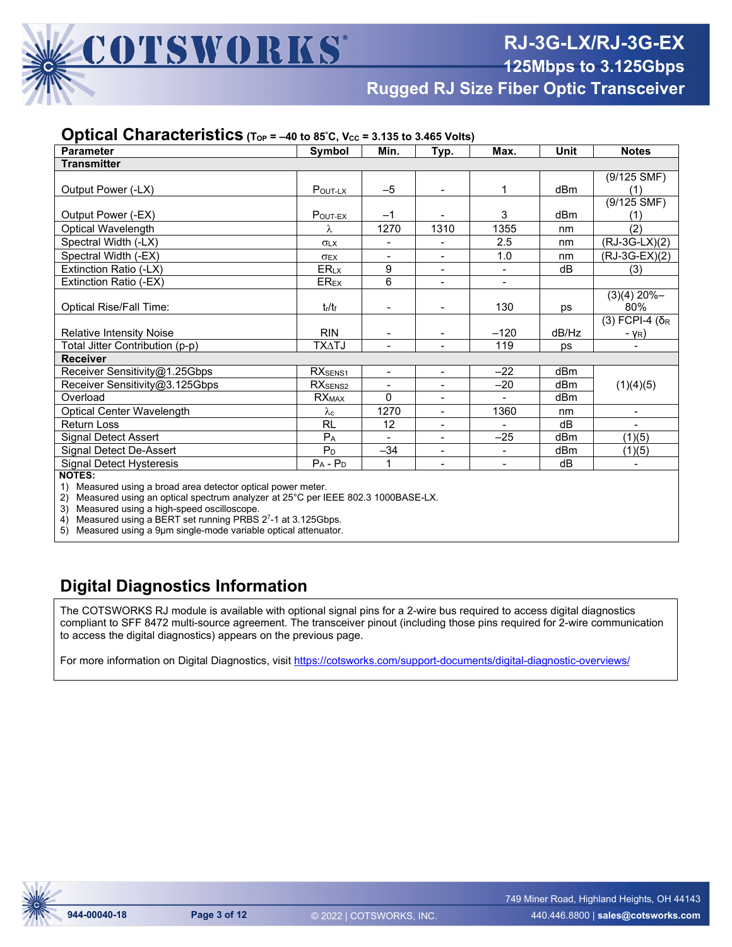**Rugged RJ Size Fiber Optic Transceiver**

#### **Optical Characteristics** (Top = -40 to 85°C, Vcc = 3.135 to 3.465 Volts)

| <b>Parameter</b>                                                                                                                 | Symbol                | Min.                     | Typ.                     | Max.           | <b>Unit</b> | <b>Notes</b>                 |
|----------------------------------------------------------------------------------------------------------------------------------|-----------------------|--------------------------|--------------------------|----------------|-------------|------------------------------|
| <b>Transmitter</b>                                                                                                               |                       |                          |                          |                |             |                              |
|                                                                                                                                  |                       |                          |                          |                |             | $(9/125$ SMF)                |
| Output Power (-LX)                                                                                                               | POUT-LX               | $-5$                     |                          | 1              | dBm         | (1)                          |
|                                                                                                                                  |                       |                          |                          |                |             | $(9/125$ SMF)                |
| Output Power (-EX)                                                                                                               | POUT-EX               | $-1$                     |                          | 3              | dBm         | (1)                          |
| Optical Wavelength                                                                                                               | λ                     | 1270                     | 1310                     | 1355           | nm          | (2)                          |
| Spectral Width (-LX)                                                                                                             | <b>OLX</b>            |                          |                          | 2.5            | nm          | $(RJ-3G-LX)(2)$              |
| Spectral Width (-EX)                                                                                                             | <b>OEX</b>            |                          | $\blacksquare$           | 1.0            | nm          | (RJ-3G-EX)(2)                |
| Extinction Ratio (-LX)                                                                                                           | ERLX                  | 9                        | $\overline{\phantom{0}}$ |                | dB          | (3)                          |
| Extinction Ratio (-EX)                                                                                                           | $ER_{EX}$             | 6                        |                          |                |             |                              |
|                                                                                                                                  |                       |                          |                          |                |             | $(3)(4)$ 20%-                |
| <b>Optical Rise/Fall Time:</b>                                                                                                   | $t_{\rm r}/t_{\rm f}$ |                          |                          | 130            | ps          | 80%                          |
|                                                                                                                                  |                       |                          |                          |                |             | $(3)$ FCPI-4 (δ <sub>R</sub> |
| <b>Relative Intensity Noise</b>                                                                                                  | <b>RIN</b>            |                          |                          | $-120$         | dB/Hz       | - γ <sub>R</sub> )           |
| Total Jitter Contribution (p-p)                                                                                                  | TX∆TJ                 | $\overline{\phantom{0}}$ |                          | 119            | <b>DS</b>   |                              |
| <b>Receiver</b>                                                                                                                  |                       |                          |                          |                |             |                              |
| Receiver Sensitivity@1.25Gbps                                                                                                    | RX <sub>SENS1</sub>   | $\blacksquare$           | $\blacksquare$           | $-22$          | dBm         |                              |
| Receiver Sensitivity@3.125Gbps                                                                                                   | RX <sub>SENS2</sub>   |                          | $\overline{\phantom{0}}$ | $-20$          | dBm         | (1)(4)(5)                    |
| Overload                                                                                                                         | $\overline{RX}_{MAX}$ | $\Omega$                 | $\blacksquare$           |                | dBm         |                              |
| Optical Center Wavelength                                                                                                        | $\lambda_c$           | 1270                     | $\blacksquare$           | 1360           | nm          |                              |
| Return Loss                                                                                                                      | <b>RL</b>             | 12                       |                          |                | dB          |                              |
| Signal Detect Assert                                                                                                             | $P_{A}$               | $\overline{a}$           | $\overline{\phantom{0}}$ | $-25$          | dBm         | (1)(5)                       |
| Signal Detect De-Assert                                                                                                          | $P_D$                 | $-34$                    | $\frac{1}{2}$            | $\blacksquare$ | dBm         | (1)(5)                       |
| Signal Detect Hysteresis                                                                                                         | $P_A - P_D$           | 1                        | $\overline{\phantom{a}}$ | $\blacksquare$ | dB          | $\overline{\phantom{a}}$     |
| <b>NOTES:</b><br>the contract of the contract of the contract of the contract of the contract of the contract of the contract of |                       |                          |                          |                |             |                              |

1) Measured using a broad area detector optical power meter.

2) Measured using an optical spectrum analyzer at 25°C per IEEE 802.3 1000BASE-LX.

3) Measured using a high-speed oscilloscope.

4) Measured using a BERT set running PRBS 2<sup>7</sup>-1 at 3.125Gbps.

5) Measured using a 9µm single-mode variable optical attenuator.

#### **Digital Diagnostics Information**

The COTSWORKS RJ module is available with optional signal pins for a 2-wire bus required to access digital diagnostics compliant to SFF 8472 multi-source agreement. The transceiver pinout (including those pins required for 2-wire communication to access the digital diagnostics) appears on the previous page.

For more information on Digital Diagnostics, visit<https://cotsworks.com/support-documents/digital-diagnostic-overviews/>

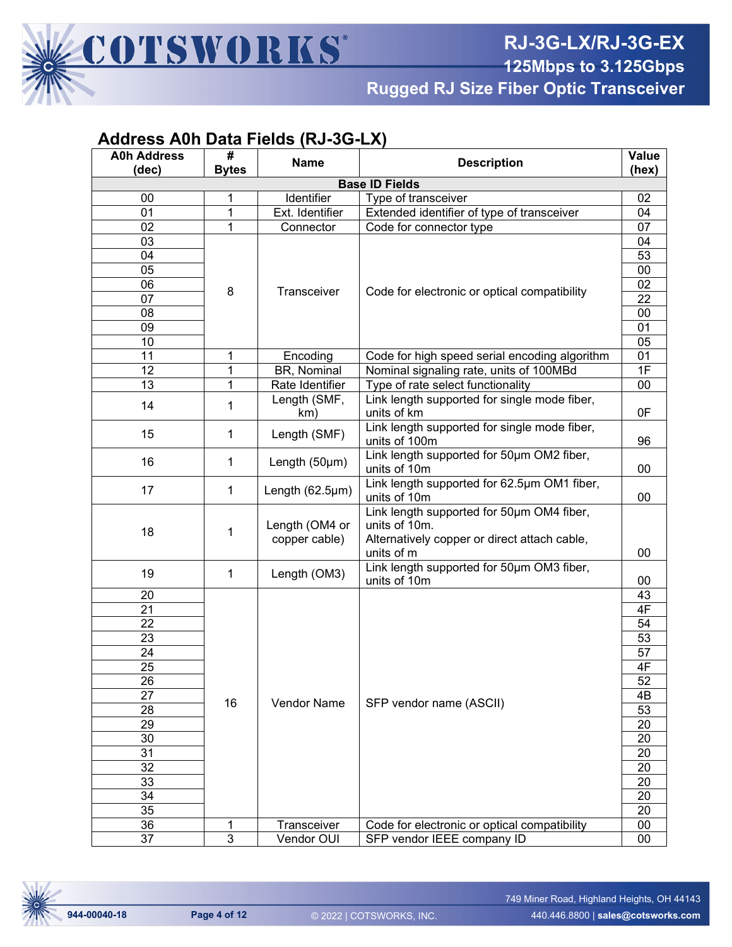

**Rugged RJ Size Fiber Optic Transceiver**

| <b>A0h Address</b> | #<br><b>Name</b> |                         | <b>Description</b>                                                                |                 |  |  |
|--------------------|------------------|-------------------------|-----------------------------------------------------------------------------------|-----------------|--|--|
| (dec)              | <b>Bytes</b>     |                         | <b>Base ID Fields</b>                                                             | (hex)           |  |  |
|                    |                  |                         |                                                                                   |                 |  |  |
| 00<br>01           | 1<br>1           | Identifier              | Type of transceiver                                                               | 02<br>04        |  |  |
|                    | 1                | Ext. Identifier         | Extended identifier of type of transceiver                                        | 07              |  |  |
| 02                 |                  | Connector               | Code for connector type                                                           |                 |  |  |
| 03<br>04           |                  |                         |                                                                                   | 04              |  |  |
|                    |                  |                         |                                                                                   | 53              |  |  |
| 05<br>06           |                  |                         |                                                                                   | $00\,$<br>02    |  |  |
| 07                 | 8                | Transceiver             | Code for electronic or optical compatibility                                      | 22              |  |  |
| 08                 |                  |                         |                                                                                   | $00\,$          |  |  |
| 09                 |                  |                         |                                                                                   | 01              |  |  |
| 10                 |                  |                         |                                                                                   | $\overline{05}$ |  |  |
| 11                 |                  |                         |                                                                                   | 01              |  |  |
| 12                 | 1<br>1           | Encoding<br>BR, Nominal | Code for high speed serial encoding algorithm                                     | $\overline{1}$  |  |  |
| 13                 | 1                | Rate Identifier         | Nominal signaling rate, units of 100MBd                                           |                 |  |  |
|                    |                  |                         | Type of rate select functionality<br>Link length supported for single mode fiber, | $00\,$          |  |  |
| 14                 | 1                | Length (SMF,            | units of km                                                                       | 0F              |  |  |
|                    |                  | km)                     | Link length supported for single mode fiber,                                      |                 |  |  |
| 15                 | $\mathbf{1}$     | Length (SMF)            | units of 100m                                                                     | 96              |  |  |
|                    |                  |                         | Link length supported for 50um OM2 fiber,                                         |                 |  |  |
| 16                 | $\mathbf{1}$     | Length (50µm)           | units of 10m                                                                      | 00              |  |  |
|                    |                  |                         | Link length supported for 62.5um OM1 fiber,                                       |                 |  |  |
| 17                 | $\mathbf{1}$     | Length (62.5µm)         | units of 10m                                                                      | 00              |  |  |
|                    |                  |                         | Link length supported for 50um OM4 fiber,                                         |                 |  |  |
|                    | 1                | Length (OM4 or          | units of 10m.                                                                     |                 |  |  |
| 18                 |                  | copper cable)           | Alternatively copper or direct attach cable,                                      |                 |  |  |
|                    |                  |                         | units of m                                                                        | $00\,$          |  |  |
|                    |                  |                         | Link length supported for 50um OM3 fiber,                                         |                 |  |  |
| 19                 | $\mathbf{1}$     | Length (OM3)            | units of 10m                                                                      | 00              |  |  |
| 20                 |                  |                         |                                                                                   | 43              |  |  |
| 21                 |                  |                         |                                                                                   | 4F              |  |  |
| 22                 |                  |                         |                                                                                   | 54              |  |  |
| 23                 |                  |                         |                                                                                   | 53              |  |  |
| 24                 |                  |                         |                                                                                   | 57              |  |  |
| 25                 |                  |                         |                                                                                   | 4F              |  |  |
| 26                 |                  |                         |                                                                                   | $\overline{52}$ |  |  |
| 27                 | 16               | Vendor Name             | SFP vendor name (ASCII)                                                           | 4B              |  |  |
| 28                 |                  |                         |                                                                                   | 53              |  |  |
| 29                 |                  |                         |                                                                                   | 20              |  |  |
| 30                 |                  |                         |                                                                                   | 20              |  |  |
| 31                 |                  |                         |                                                                                   | 20              |  |  |
| 32                 |                  |                         |                                                                                   | 20              |  |  |
| 33                 |                  |                         |                                                                                   | 20              |  |  |
| 34                 |                  |                         |                                                                                   | 20              |  |  |
| 35                 |                  |                         |                                                                                   | 20              |  |  |
| 36                 | 1                | Transceiver             | Code for electronic or optical compatibility                                      | $00\,$          |  |  |
| 37                 | $\overline{3}$   | Vendor OUI              | SFP vendor IEEE company ID                                                        | 00              |  |  |

### **Address A0h Data Fields (RJ-3G-LX)**

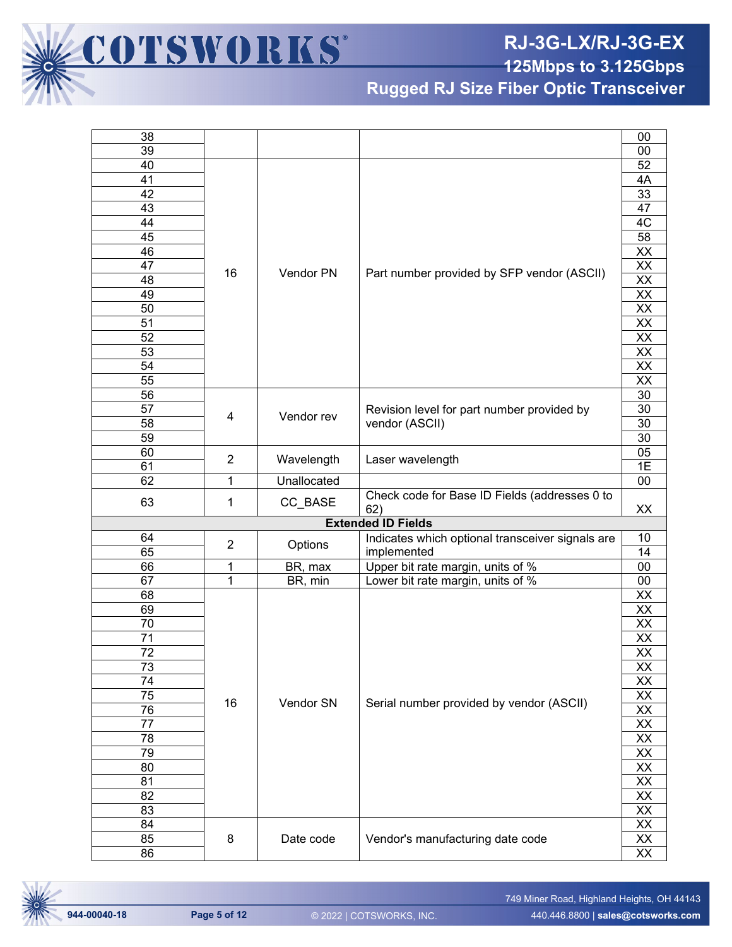

**Rugged RJ Size Fiber Optic Transceiver**

| 38              |                |             |                                                  | 00                               |
|-----------------|----------------|-------------|--------------------------------------------------|----------------------------------|
| 39              |                |             |                                                  | $00\,$                           |
| 40              |                |             |                                                  | 52                               |
| 41              |                |             |                                                  | 4A                               |
| 42              |                |             |                                                  | 33                               |
| 43              |                |             |                                                  | 47                               |
| 44              |                |             |                                                  | 4C                               |
| 45              |                |             |                                                  | 58                               |
| 46              |                |             |                                                  | $\frac{XX}{XX}$                  |
| $\overline{47}$ |                |             |                                                  |                                  |
| 48              | 16             | Vendor PN   | Part number provided by SFP vendor (ASCII)       | $\overline{\mathsf{XX}}$         |
| 49              |                |             |                                                  | $\frac{XX}{XX}$                  |
| 50              |                |             |                                                  |                                  |
| $\overline{51}$ |                |             |                                                  |                                  |
| 52              |                |             |                                                  | $\overline{XX}$                  |
| 53              |                |             |                                                  |                                  |
| $\overline{54}$ |                |             |                                                  | $\frac{XX}{XX}$                  |
| 55              |                |             |                                                  | $\overline{XX}$                  |
| 56              |                |             |                                                  | 30                               |
| $\overline{57}$ |                |             | Revision level for part number provided by       | 30                               |
| $\overline{58}$ | 4              | Vendor rev  | vendor (ASCII)                                   | 30                               |
| 59              |                |             |                                                  | 30                               |
| 60              |                |             |                                                  | 05                               |
| 61              | $\overline{2}$ | Wavelength  | Laser wavelength                                 | 1E                               |
| 62              | 1              | Unallocated |                                                  | $\overline{00}$                  |
|                 |                |             | Check code for Base ID Fields (addresses 0 to    |                                  |
| 63              | 1              | CC_BASE     | 62)                                              | XX                               |
|                 |                |             | <b>Extended ID Fields</b>                        |                                  |
| 64              |                |             | Indicates which optional transceiver signals are | 10                               |
| 65              | $\overline{2}$ | Options     | implemented                                      | 14                               |
| 66              | 1              | BR, max     | Upper bit rate margin, units of %                | $\overline{00}$                  |
| 67              | 1              | BR, min     | Lower bit rate margin, units of %                | $\overline{00}$                  |
| 68              |                |             |                                                  | <u>XX</u>                        |
| 69              |                |             |                                                  |                                  |
| 70              |                |             |                                                  |                                  |
| 71              |                |             |                                                  | XX<br>XX<br>XX                   |
| 72              |                |             |                                                  | $\overline{XX}$                  |
| $\overline{73}$ |                |             |                                                  | $\overline{XX}$                  |
| 74              |                |             |                                                  | XX                               |
| 75              |                |             |                                                  |                                  |
| $\overline{76}$ | 16             | Vendor SN   | Serial number provided by vendor (ASCII)         |                                  |
| 77              |                |             |                                                  |                                  |
|                 |                |             |                                                  | XX<br>XX<br>XX<br>XX<br>XX<br>XX |
| 78              |                |             |                                                  |                                  |
| 79              |                |             |                                                  |                                  |
| 80              |                |             |                                                  |                                  |
| 81              |                |             |                                                  | XX                               |
| 82              |                |             |                                                  |                                  |
| 83              |                |             |                                                  |                                  |
|                 |                |             |                                                  |                                  |
| 84              |                |             |                                                  | $\frac{XX}{XX}$                  |
| 85<br>86        | 8              | Date code   | Vendor's manufacturing date code                 | $\frac{XX}{XX}$                  |

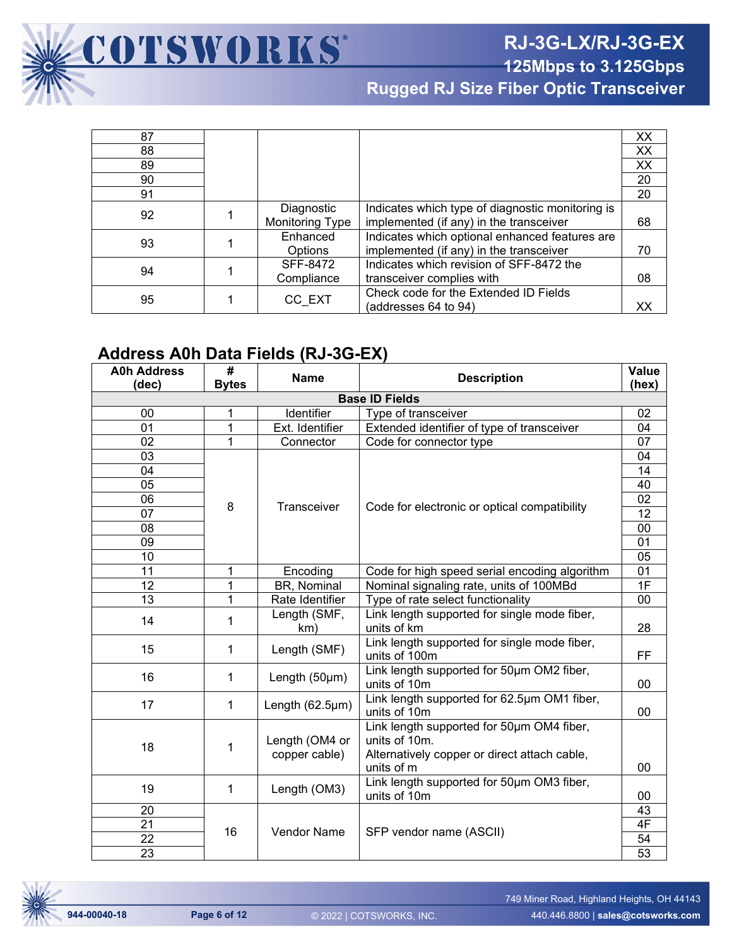

**Rugged RJ Size Fiber Optic Transceiver**

| 87 |                 |                                                  | XX |
|----|-----------------|--------------------------------------------------|----|
| 88 |                 |                                                  | XX |
| 89 |                 |                                                  | XX |
| 90 |                 |                                                  | 20 |
| 91 |                 |                                                  | 20 |
| 92 | Diagnostic      | Indicates which type of diagnostic monitoring is |    |
|    | Monitoring Type | implemented (if any) in the transceiver          | 68 |
| 93 | Enhanced        | Indicates which optional enhanced features are   |    |
|    | <b>Options</b>  | implemented (if any) in the transceiver          | 70 |
| 94 | SFF-8472        | Indicates which revision of SFF-8472 the         |    |
|    | Compliance      | transceiver complies with                        | 08 |
| 95 | CC EXT          | Check code for the Extended ID Fields            |    |
|    |                 | (addresses 64 to 94)                             | xх |

#### **Address A0h Data Fields (RJ-3G-EX)**

COTSWORKS®

| <b>A0h Address</b>    | #              |                       | <b>Description</b>                                        | <b>Value</b>     |  |  |  |
|-----------------------|----------------|-----------------------|-----------------------------------------------------------|------------------|--|--|--|
| (dec)                 | <b>Bytes</b>   | <b>Name</b>           |                                                           | (hex)            |  |  |  |
| <b>Base ID Fields</b> |                |                       |                                                           |                  |  |  |  |
| 00                    | 1              | Identifier            | Type of transceiver                                       | 02               |  |  |  |
| 01                    | 1              | Ext. Identifier       | Extended identifier of type of transceiver                | 04               |  |  |  |
| 02                    | $\overline{1}$ | Connector             | Code for connector type                                   | 07               |  |  |  |
| 03                    |                |                       |                                                           | 04               |  |  |  |
| 04                    |                |                       |                                                           | 14               |  |  |  |
| $\overline{05}$       |                |                       |                                                           | 40               |  |  |  |
| 06                    | 8              | Transceiver           | Code for electronic or optical compatibility              | 02               |  |  |  |
| 07                    |                |                       |                                                           | 12               |  |  |  |
| 08                    |                |                       |                                                           | 00               |  |  |  |
| 09                    |                |                       |                                                           | $\overline{01}$  |  |  |  |
| 10                    |                |                       |                                                           | 05               |  |  |  |
| 11                    | 1              | Encoding              | Code for high speed serial encoding algorithm             | 01               |  |  |  |
| 12                    | 1              | BR, Nominal           | Nominal signaling rate, units of 100MBd                   | $\overline{1}$ F |  |  |  |
| $\overline{13}$       | $\overline{1}$ | Rate Identifier       | Type of rate select functionality                         | 00               |  |  |  |
| 14                    | 1              | Length (SMF,          | Link length supported for single mode fiber,              |                  |  |  |  |
|                       |                | km)                   | units of km                                               | 28               |  |  |  |
| 15                    | 1              | Length (SMF)          | Link length supported for single mode fiber,              |                  |  |  |  |
|                       |                |                       | units of 100m                                             | FF               |  |  |  |
| 16                    | 1              | Length (50µm)         | Link length supported for 50um OM2 fiber,                 |                  |  |  |  |
|                       |                |                       | units of 10m                                              | 00               |  |  |  |
| 17                    | 1              | Length $(62.5 \mu m)$ | Link length supported for 62.5um OM1 fiber,               |                  |  |  |  |
|                       |                |                       | units of 10m                                              | 00               |  |  |  |
|                       |                |                       | Link length supported for 50um OM4 fiber,                 |                  |  |  |  |
| 18                    | 1              | Length (OM4 or        | units of 10m.                                             |                  |  |  |  |
|                       |                | copper cable)         | Alternatively copper or direct attach cable,              |                  |  |  |  |
|                       |                |                       | units of m                                                | 00               |  |  |  |
| 19                    | 1              | Length (OM3)          | Link length supported for 50um OM3 fiber,<br>units of 10m | 00               |  |  |  |
| 20                    |                |                       |                                                           | 43               |  |  |  |
| 21                    |                |                       |                                                           | 4F               |  |  |  |
| 22                    | 16             | Vendor Name           | SFP vendor name (ASCII)                                   | 54               |  |  |  |
| 23                    |                |                       |                                                           | 53               |  |  |  |

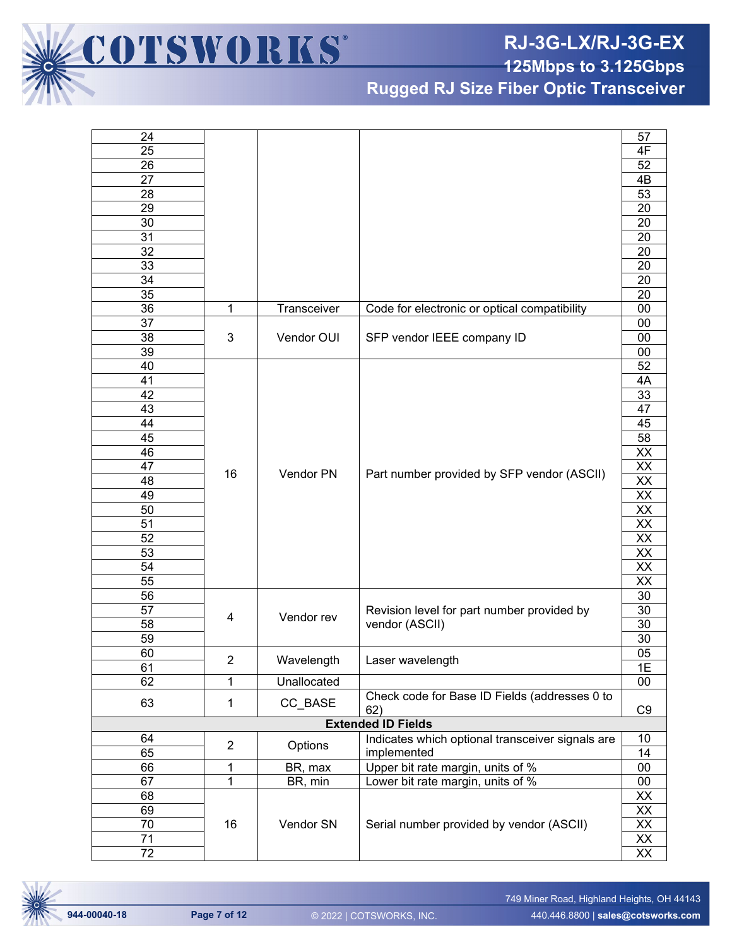**RJ-3G-LX/RJ-3G-EX**

**125Mbps to 3.125Gbps**

**Rugged RJ Size Fiber Optic Transceiver**

| 24              |                |             |                                                  | 57              |
|-----------------|----------------|-------------|--------------------------------------------------|-----------------|
| $\overline{25}$ |                |             |                                                  | 4F              |
| 26              |                |             |                                                  | 52              |
| 27              |                |             |                                                  | 4B              |
| 28              |                |             |                                                  | 53              |
| 29              |                |             |                                                  | 20              |
| 30              |                |             |                                                  | 20              |
| 31              |                |             |                                                  | $\overline{20}$ |
| $\overline{32}$ |                |             |                                                  | $\overline{20}$ |
| 33              |                |             |                                                  | 20              |
| 34              |                |             |                                                  | 20              |
| $\overline{35}$ |                |             |                                                  | 20              |
| 36              | 1              | Transceiver | Code for electronic or optical compatibility     | $00\,$          |
| $\overline{37}$ |                |             |                                                  | $00\,$          |
| 38              | 3              | Vendor OUI  | SFP vendor IEEE company ID                       | $00\,$          |
| 39              |                |             |                                                  | 00              |
| 40              |                |             |                                                  | 52              |
| 41              |                |             |                                                  | 4A              |
| 42              |                |             |                                                  | 33              |
|                 |                |             |                                                  |                 |
| 43              |                |             |                                                  | 47              |
| 44              |                |             |                                                  | 45              |
| 45              |                |             |                                                  | $\overline{58}$ |
| 46              |                | Vendor PN   |                                                  | $\overline{XX}$ |
| 47              | 16             |             | Part number provided by SFP vendor (ASCII)       | $\overline{XX}$ |
| 48              |                |             |                                                  | $\overline{XX}$ |
| 49              |                |             |                                                  | $\overline{XX}$ |
| 50              |                |             |                                                  | $\overline{XX}$ |
| 51              |                |             |                                                  | $\overline{XX}$ |
| 52              |                |             |                                                  | $\overline{XX}$ |
| 53              |                |             |                                                  | $\overline{XX}$ |
| 54              |                |             |                                                  | $\overline{XX}$ |
| 55              |                |             |                                                  | $\overline{XX}$ |
| 56              |                |             |                                                  | 30              |
| 57              | 4              | Vendor rev  | Revision level for part number provided by       | 30              |
| 58              |                |             | vendor (ASCII)                                   | 30              |
| 59              |                |             |                                                  | 30              |
| 60              |                |             |                                                  | 05              |
| 61              | $\overline{2}$ | Wavelength  | Laser wavelength                                 | 1E              |
| 62              | 1              | Unallocated |                                                  | 00              |
| 63              | $\mathbf{1}$   | CC_BASE     | Check code for Base ID Fields (addresses 0 to    |                 |
|                 |                |             | 62)                                              | C <sub>9</sub>  |
|                 |                |             | <b>Extended ID Fields</b>                        |                 |
| 64              | $\overline{2}$ |             | Indicates which optional transceiver signals are | 10              |
| 65              |                | Options     | implemented                                      | 14              |
| 66              | 1              | BR, max     | Upper bit rate margin, units of %                | $00\,$          |
| 67              | 1              | BR, min     | Lower bit rate margin, units of %                | $00\,$          |
| 68              |                |             |                                                  | XX              |
| 69              |                |             |                                                  | XX              |
| 70              | 16             | Vendor SN   | Serial number provided by vendor (ASCII)         | XX              |
| 71              |                |             |                                                  |                 |
| 72              |                |             |                                                  | $\frac{XX}{XX}$ |



COTSWORKS'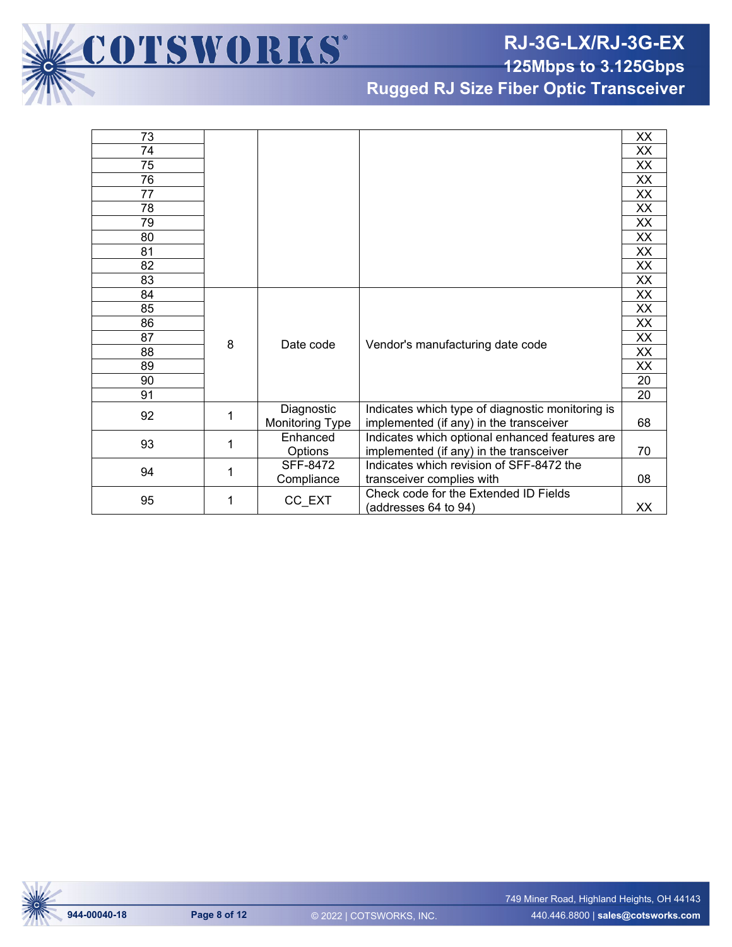**RJ-3G-LX/RJ-3G-EX**

**125Mbps to 3.125Gbps**

**Rugged RJ Size Fiber Optic Transceiver**

| 73 |   |                        |                                                  | XX              |
|----|---|------------------------|--------------------------------------------------|-----------------|
| 74 |   |                        |                                                  | XX              |
| 75 |   |                        |                                                  | XX              |
| 76 |   |                        |                                                  | XX              |
| 77 |   |                        |                                                  | XX              |
| 78 |   |                        |                                                  | XX              |
| 79 |   |                        |                                                  | XX              |
| 80 |   |                        |                                                  | XX              |
| 81 |   |                        |                                                  | XX              |
| 82 |   |                        |                                                  | XX              |
| 83 |   |                        |                                                  | XX              |
| 84 |   |                        |                                                  | XX              |
| 85 |   |                        |                                                  | XX              |
| 86 |   |                        |                                                  | XX              |
| 87 | 8 | Date code              | Vendor's manufacturing date code                 | XX              |
| 88 |   |                        |                                                  | XX              |
| 89 |   |                        |                                                  | XX              |
| 90 |   |                        |                                                  | $\overline{20}$ |
| 91 |   |                        |                                                  | 20              |
| 92 | 1 | Diagnostic             | Indicates which type of diagnostic monitoring is |                 |
|    |   | <b>Monitoring Type</b> | implemented (if any) in the transceiver          | 68              |
| 93 | 1 | Enhanced               | Indicates which optional enhanced features are   |                 |
|    |   | Options                | implemented (if any) in the transceiver          | 70              |
| 94 | 1 | SFF-8472               | Indicates which revision of SFF-8472 the         |                 |
|    |   | Compliance             | transceiver complies with                        | 08              |
| 95 | 1 | CC_EXT                 | Check code for the Extended ID Fields            |                 |
|    |   |                        | (addresses 64 to 94)                             | XX              |

COTSWORKS®

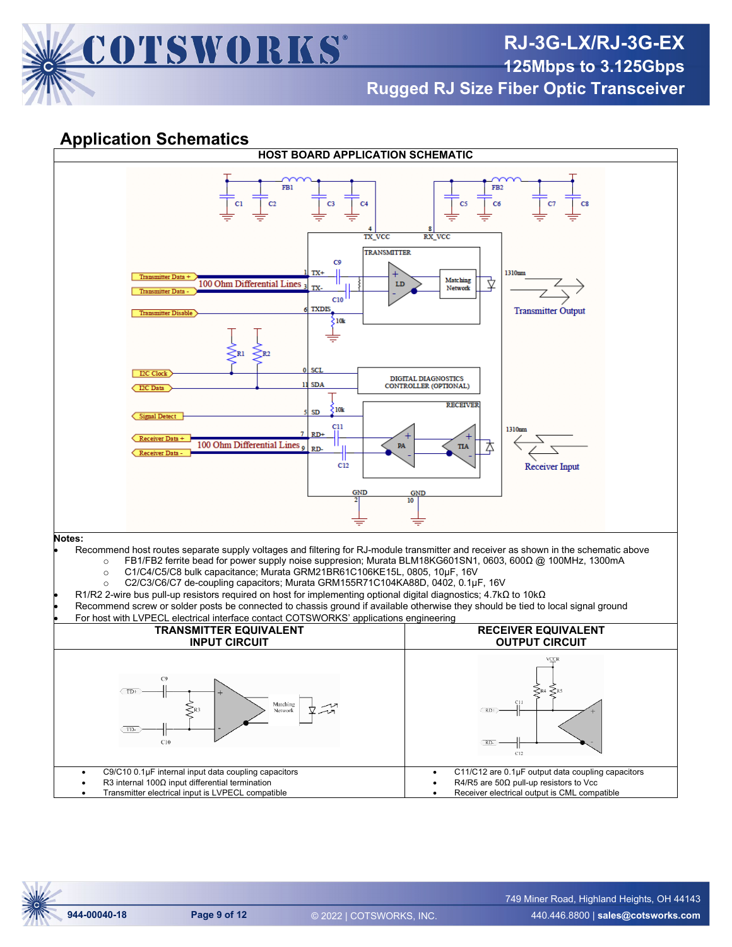

## **Rugged RJ Size Fiber Optic Transceiver**

#### **Application Schematics**

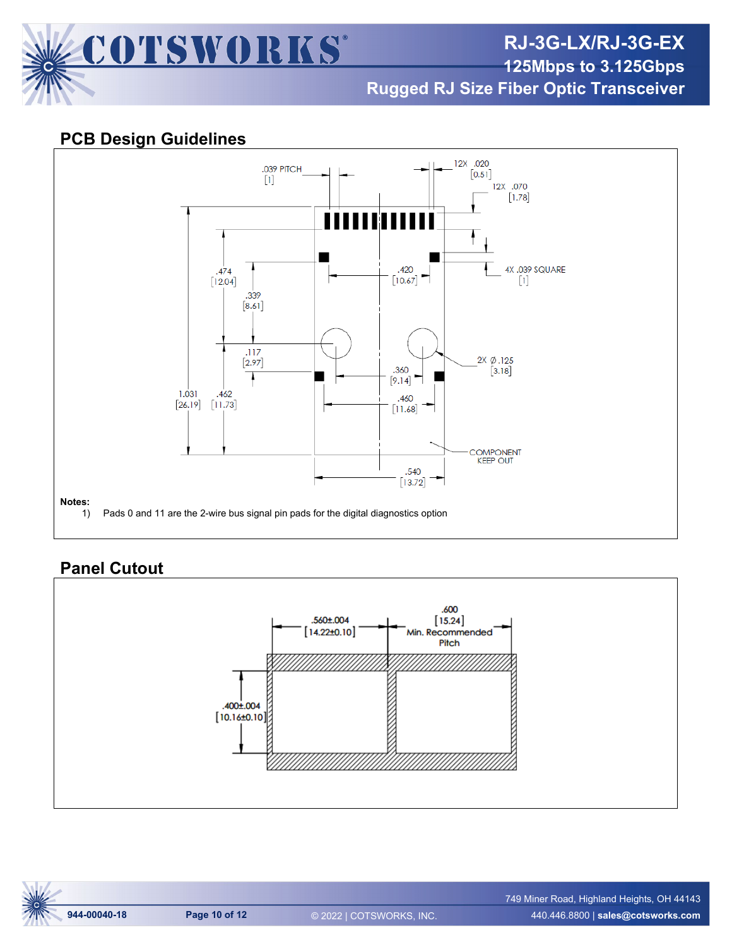

**Rugged RJ Size Fiber Optic Transceiver**

#### **PCB Design Guidelines**



### **Panel Cutout**

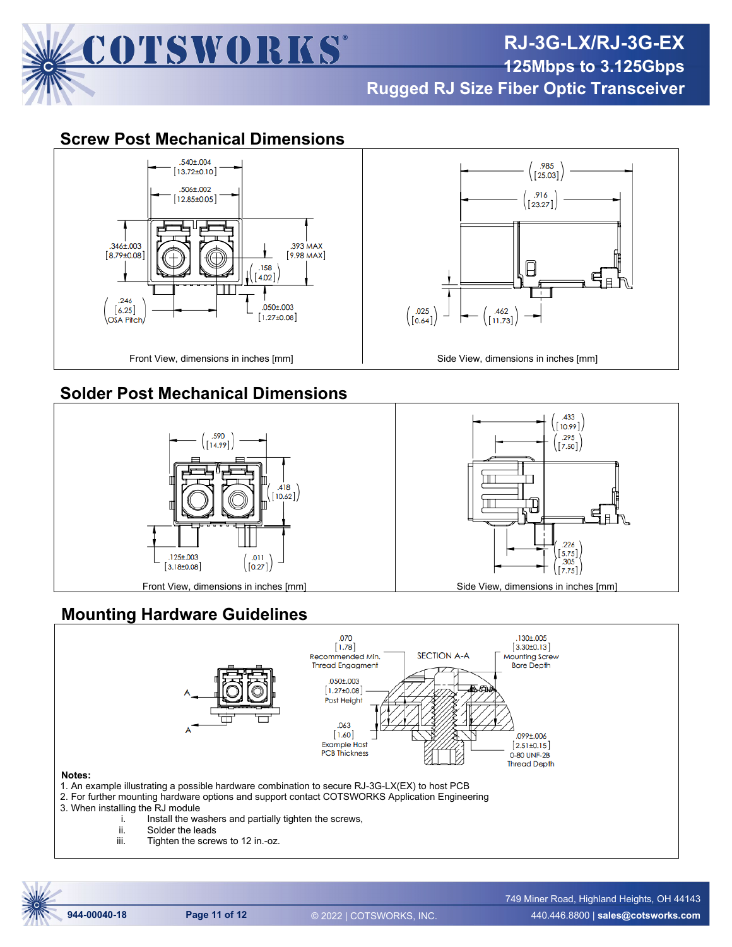

# **RJ-3G-LX/RJ-3G-EX 125Mbps to 3.125Gbps**

**Rugged RJ Size Fiber Optic Transceiver**

.985

 $\begin{bmatrix} 25.03 \end{bmatrix}$ 

.916

 $[23.27]$ 

⊩

.433  $[10.99]$ .295

 $[7.50]$ 

226  $5.75$ 

.305

 $[7.75]$ 

.462

 $\left[11.73\right]$ 

Ш

╥

母

.025

 $[0.64]$ 

#### **Screw Post Mechanical Dimensions**



### **Solder Post Mechanical Dimensions**



#### **Mounting Hardware Guidelines**



- i. Install the washers and partially tighten the screws,<br>ii. Solder the leads
	- ii. Solder the leads<br>iii. Tighten the screv
	- Tighten the screws to 12 in.-oz.